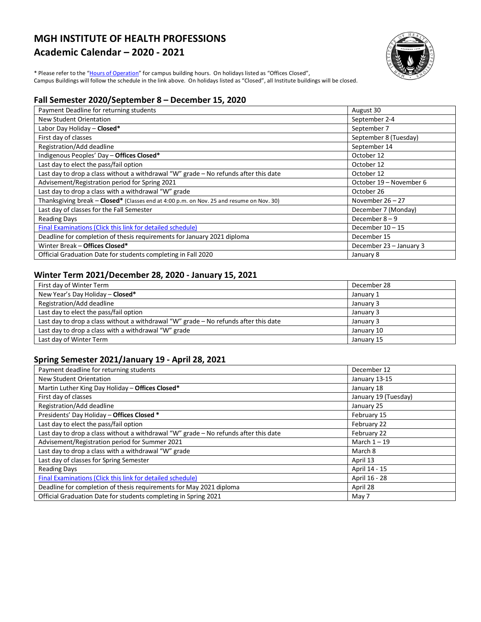# **MGH INSTITUTE OF HEALTH PROFESSIONS Academic Calendar – 2020 - 2021**



\* Please refer to the ["Hours of Operation"](http://www.mghihp.edu/about-us/offices-and-services/facilities/hours.aspx) for campus building hours. On holidays listed as "Offices Closed", Campus Buildings will follow the schedule in the link above. On holidays listed as "Closed", all Institute buildings will be closed.

## **Fall Semester 2020/September 8 – December 15, 2020**

| Payment Deadline for returning students                                                  | August 30               |
|------------------------------------------------------------------------------------------|-------------------------|
| New Student Orientation                                                                  | September 2-4           |
| Labor Day Holiday - Closed*                                                              | September 7             |
| First day of classes                                                                     | September 8 (Tuesday)   |
| Registration/Add deadline                                                                | September 14            |
| Indigenous Peoples' Day - Offices Closed*                                                | October 12              |
| Last day to elect the pass/fail option                                                   | October 12              |
| Last day to drop a class without a withdrawal "W" grade - No refunds after this date     | October 12              |
| Advisement/Registration period for Spring 2021                                           | October 19 – November 6 |
| Last day to drop a class with a withdrawal "W" grade                                     | October 26              |
| Thanksgiving break - Closed* (Classes end at 4:00 p.m. on Nov. 25 and resume on Nov. 30) | November $26 - 27$      |
| Last day of classes for the Fall Semester                                                | December 7 (Monday)     |
| <b>Reading Days</b>                                                                      | December $8 - 9$        |
| Final Examinations (Click this link for detailed schedule)                               | December $10 - 15$      |
| Deadline for completion of thesis requirements for January 2021 diploma                  | December 15             |
| Winter Break - Offices Closed*                                                           | December 23 - January 3 |
| Official Graduation Date for students completing in Fall 2020                            | January 8               |

## **Winter Term 2021/December 28, 2020 - January 15, 2021**

| First day of Winter Term                                                               | December 28 |
|----------------------------------------------------------------------------------------|-------------|
| New Year's Day Holiday - Closed*                                                       | January 1   |
| Registration/Add deadline                                                              | January 3   |
| Last day to elect the pass/fail option                                                 | January 3   |
| Last day to drop a class without a withdrawal "W" grade $-$ No refunds after this date | January 3   |
| Last day to drop a class with a withdrawal "W" grade                                   | January 10  |
| Last day of Winter Term                                                                | January 15  |

## **Spring Semester 2021/January 19 - April 28, 2021**

| Payment deadline for returning students                                              | December 12          |
|--------------------------------------------------------------------------------------|----------------------|
| New Student Orientation                                                              | January 13-15        |
| Martin Luther King Day Holiday - Offices Closed*                                     | January 18           |
| First day of classes                                                                 | January 19 (Tuesday) |
| Registration/Add deadline                                                            | January 25           |
| Presidents' Day Holiday - Offices Closed *                                           | February 15          |
| Last day to elect the pass/fail option                                               | February 22          |
| Last day to drop a class without a withdrawal "W" grade - No refunds after this date | February 22          |
| Advisement/Registration period for Summer 2021                                       | March $1 - 19$       |
| Last day to drop a class with a withdrawal "W" grade                                 | March 8              |
| Last day of classes for Spring Semester                                              | April 13             |
| <b>Reading Days</b>                                                                  | April 14 - 15        |
| Final Examinations (Click this link for detailed schedule)                           | April 16 - 28        |
| Deadline for completion of thesis requirements for May 2021 diploma                  | April 28             |
| Official Graduation Date for students completing in Spring 2021                      | May 7                |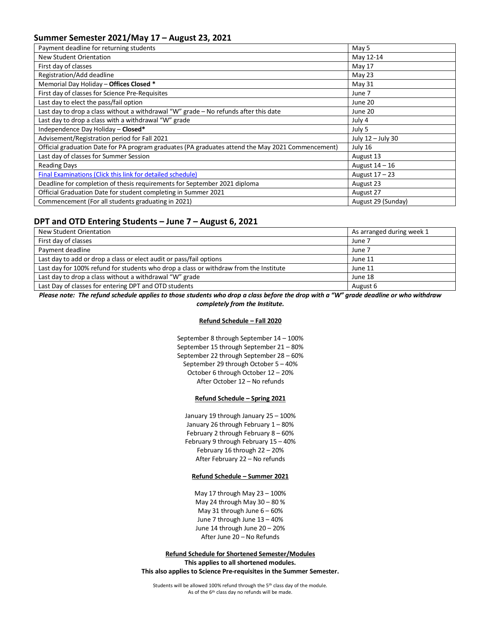### **Summer Semester 2021/May 17 – August 23, 2021**

| Payment deadline for returning students                                                           | May 5              |
|---------------------------------------------------------------------------------------------------|--------------------|
| <b>New Student Orientation</b>                                                                    | May 12-14          |
| First day of classes                                                                              | May 17             |
| Registration/Add deadline                                                                         | May 23             |
| Memorial Day Holiday - Offices Closed *                                                           | May 31             |
| First day of classes for Science Pre-Requisites                                                   | June 7             |
| Last day to elect the pass/fail option                                                            | June 20            |
| Last day to drop a class without a withdrawal "W" grade - No refunds after this date              | June 20            |
| Last day to drop a class with a withdrawal "W" grade                                              | July 4             |
| Independence Day Holiday - Closed*                                                                | July 5             |
| Advisement/Registration period for Fall 2021                                                      | July 12 - July 30  |
| Official graduation Date for PA program graduates (PA graduates attend the May 2021 Commencement) | July 16            |
| Last day of classes for Summer Session                                                            | August 13          |
| <b>Reading Days</b>                                                                               | August $14-16$     |
| Final Examinations (Click this link for detailed schedule)                                        | August $17 - 23$   |
| Deadline for completion of thesis requirements for September 2021 diploma                         | August 23          |
| Official Graduation Date for student completing in Summer 2021                                    | August 27          |
| Commencement (For all students graduating in 2021)                                                | August 29 (Sunday) |

### **DPT and OTD Entering Students – June 7 – August 6, 2021**

| New Student Orientation                                                               | As arranged during week 1 |
|---------------------------------------------------------------------------------------|---------------------------|
| First day of classes                                                                  | June 7                    |
| Payment deadline                                                                      | June 7                    |
| Last day to add or drop a class or elect audit or pass/fail options                   | June 11                   |
| Last day for 100% refund for students who drop a class or withdraw from the Institute | June 11                   |
| Last day to drop a class without a withdrawal "W" grade                               | June 18                   |
| Last Day of classes for entering DPT and OTD students                                 | August 6                  |

*Please note: The refund schedule applies to those students who drop a class before the drop with a "W" grade deadline or who withdraw completely from the Institute.*

#### **Refund Schedule – Fall 2020**

September 8 through September 14 – 100% September 15 through September 21 – 80% September 22 through September 28 – 60% September 29 through October 5 – 40% October 6 through October 12 – 20% After October 12 – No refunds

#### **Refund Schedule – Spring 2021**

January 19 through January 25 – 100% January 26 through February 1 – 80% February 2 through February 8 – 60% February 9 through February 15 – 40% February 16 through 22 – 20% After February 22 – No refunds

#### **Refund Schedule – Summer 2021**

May 17 through May 23 – 100% May 24 through May 30 – 80 % May 31 through June 6 – 60% June 7 through June 13 – 40% June 14 through June 20 – 20% After June 20 – No Refunds

**Refund Schedule for Shortened Semester/Modules This applies to all shortened modules. This also applies to Science Pre-requisites in the Summer Semester.**